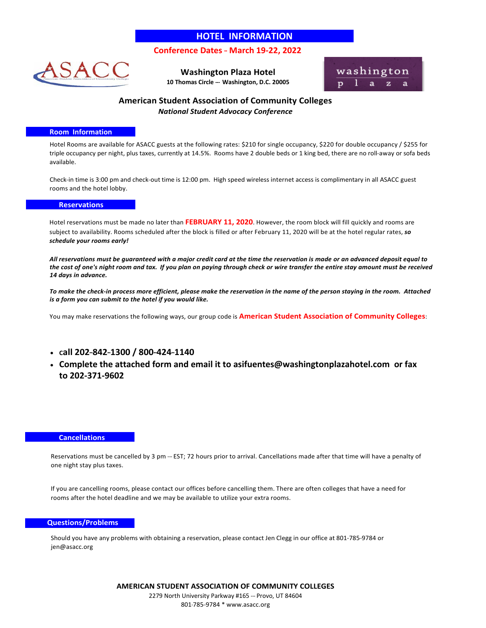# **HOTEL INFORMATION**

## **Conference Dates --- March 19-22, 2022**



**Washington Plaza Hotel 10 Thomas Circle --- Washington, D.C. 20005** 



## **American Student Association of Community Colleges** *National Student Advocacy Conference*

### **Room Information**

Hotel Rooms are available for ASACC guests at the following rates: \$210 for single occupancy, \$220 for double occupancy / \$255 for triple occupancy per night, plus taxes, currently at 14.5%. Rooms have 2 double beds or 1 king bed, there are no roll-away or sofa beds available.

Check-in time is 3:00 pm and check-out time is 12:00 pm. High speed wireless internet access is complimentary in all ASACC guest rooms and the hotel lobby.

### **Reservations**

Hotel reservations must be made no later than **FEBRUARY 11, 2020**. However, the room block will fill quickly and rooms are subject to availability. Rooms scheduled after the block is filled or after February 11, 2020 will be at the hotel regular rates, *so schedule your rooms early!* 

*All reservations must be guaranteed with a major credit card at the time the reservation is made or an advanced deposit equal to the cost of one's night room and tax. If you plan on paying through check or wire transfer the entire stay amount must be received 14 days in advance.*

*To make the check-in process more efficient, please make the reservation in the name of the person staying in the room. Attached is a form you can submit to the hotel if you would like.* 

You may make reservations the following ways, our group code is **American Student Association of Community Colleges**:

- $\cdot$  call 202-842-1300 / 800-424-1140
- **Complete the attached form and email it to asifuentes@washingtonplazahotel.com or fax to 202-371-9602**

#### **Cancellations**

Reservations must be cancelled by 3 pm --- EST; 72 hours prior to arrival. Cancellations made after that time will have a penalty of one night stay plus taxes.

If you are cancelling rooms, please contact our offices before cancelling them. There are often colleges that have a need for rooms after the hotel deadline and we may be available to utilize your extra rooms.

#### **Questions/Problems**

Should you have any problems with obtaining a reservation, please contact Jen Clegg in our office at 801-785-9784 or jen@asacc.org

> **AMERICAN STUDENT ASSOCIATION OF COMMUNITY COLLEGES** 2279 North University Parkway #165 --- Provo, UT 84604 801-785-9784 \* [www.asacc.org](http://www.asacc.org/)